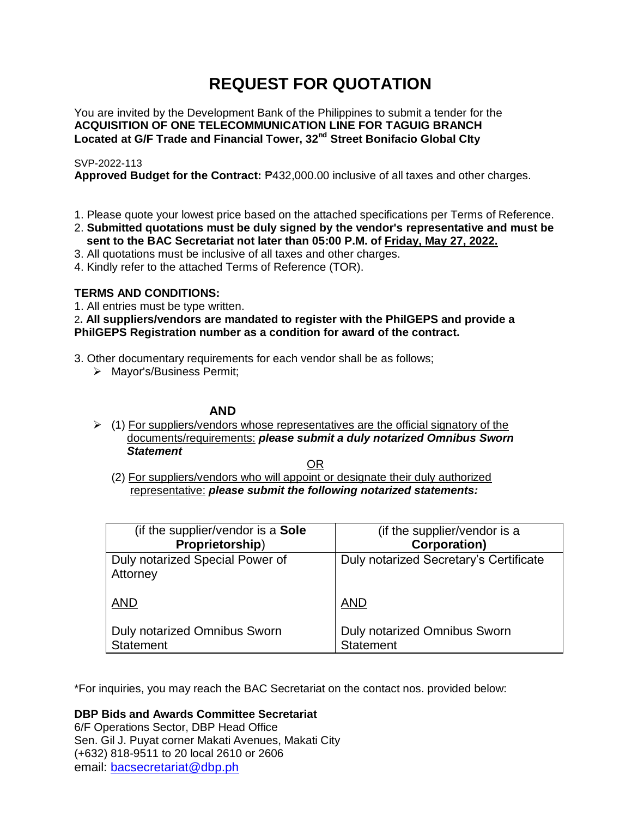# **REQUEST FOR QUOTATION**

You are invited by the Development Bank of the Philippines to submit a tender for the **ACQUISITION OF ONE TELECOMMUNICATION LINE FOR TAGUIG BRANCH Located at G/F Trade and Financial Tower, 32nd Street Bonifacio Global CIty**

## SVP-2022-113

**Approved Budget for the Contract:** ₱432,000.00 inclusive of all taxes and other charges.

- 1. Please quote your lowest price based on the attached specifications per Terms of Reference.
- 2. **Submitted quotations must be duly signed by the vendor's representative and must be sent to the BAC Secretariat not later than 05:00 P.M. of Friday, May 27, 2022.**
- 3. All quotations must be inclusive of all taxes and other charges.
- 4. Kindly refer to the attached Terms of Reference (TOR).

## **TERMS AND CONDITIONS:**

1. All entries must be type written.

2**. All suppliers/vendors are mandated to register with the PhilGEPS and provide a PhilGEPS Registration number as a condition for award of the contract.**

- 3. Other documentary requirements for each vendor shall be as follows;
	- > Mayor's/Business Permit;

## **AND**

 $\geq$  (1) For suppliers/vendors whose representatives are the official signatory of the documents/requirements: *please submit a duly notarized Omnibus Sworn Statement*

<u>OR Starting and the Starting OR Starting</u>

(2) For suppliers/vendors who will appoint or designate their duly authorized representative: *please submit the following notarized statements:*

| (if the supplier/vendor is a Sole           | (if the supplier/vendor is a           |
|---------------------------------------------|----------------------------------------|
| Proprietorship)                             | <b>Corporation)</b>                    |
| Duly notarized Special Power of<br>Attorney | Duly notarized Secretary's Certificate |
| <b>AND</b>                                  | <b>AND</b>                             |
| Duly notarized Omnibus Sworn                | Duly notarized Omnibus Sworn           |
| <b>Statement</b>                            | <b>Statement</b>                       |

\*For inquiries, you may reach the BAC Secretariat on the contact nos. provided below:

**DBP Bids and Awards Committee Secretariat** 

6/F Operations Sector, DBP Head Office Sen. Gil J. Puyat corner Makati Avenues, Makati City (+632) 818-9511 to 20 local 2610 or 2606 email: [bacsecretariat@dbp.ph](mailto:bacsecretariat@dbp.ph)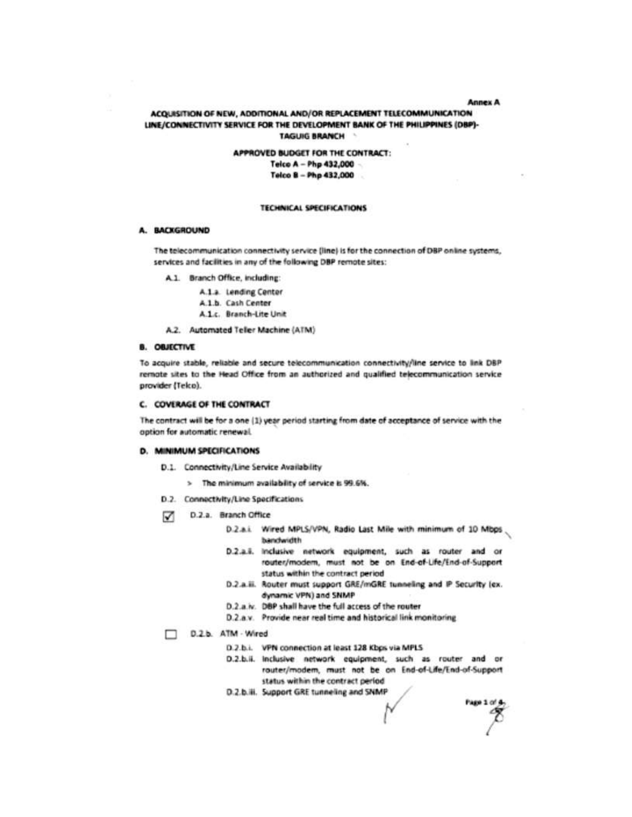#### **Annex A**

#### ACQUISITION OF NEW, ADDITIONAL AND/OR REPLACEMENT TELECOMMUNICATION LINE/CONNECTIVITY SERVICE FOR THE DEVELOPMENT BANK OF THE PHILIPPINES (DBP)-**TAGUIG BRANCH**

APPROVED BUDGET FOR THE CONTRACT: Telco A - Php 432,000 -Telco B - Php 432,000

#### **TECHNICAL SPECIFICATIONS**

#### A. BACKGROUND

The telecommunication connectivity service (line) is for the connection of DBP online systems, services and facilities in any of the following DBP remote sites:

A.1. Branch Office, including:

- A.1.a. Lending Center
- A.1.b. Cash Center
- A.1.c. Branch-Lite Unit
- A.2. Automated Teller Machine (ATM)

#### **B. OBJECTIVE**

To acquire stable, reliable and secure telecommunication connectivity/line service to link DBP remote sites to the Head Office from an authorized and qualified telecommunication service provider (Teko).

#### **C. COVERAGE OF THE CONTRACT**

The contract will be for a one (1) year period starting from date of acceptance of service with the option for automatic renewal.

#### **D. MINIMUM SPECIFICATIONS**

- D.1. Connectivity/Line Service Availability
	- > The minimum availability of service is 99.6%.
- D.2. Connectivity/Line Specifications
- D.2.a. Branch Office M
	- D.2.a.i. Wired MPLS/VPN, Radio Last Mile with minimum of 10 Mbps bandwidth
	- D.2.a.i. Inclusive network equipment, such as router and or router/modem, must not be on End-of-Life/End-of-Support status within the contract period
	- D.2.a.ii. Router must support GRE/mGRE tunneling and IP Security (ex. dynamic VPN) and SNMP
	- D.2.a.iv. DBP shall have the full access of the router
	- D.2.a.v. Provide near real time and historical link monitoring

D.2.b. ATM - Wired

- D.2.b.i. VPN connection at least 128 Kbps via MPLS
- D.2.b.ii. Inclusive network equipment, such as router and or router/modem, must not be on End-of-Life/End-of-Support status within the contract period
- D.2.b.iii. Support GRE tunneling and SNMP

Page 1 of 4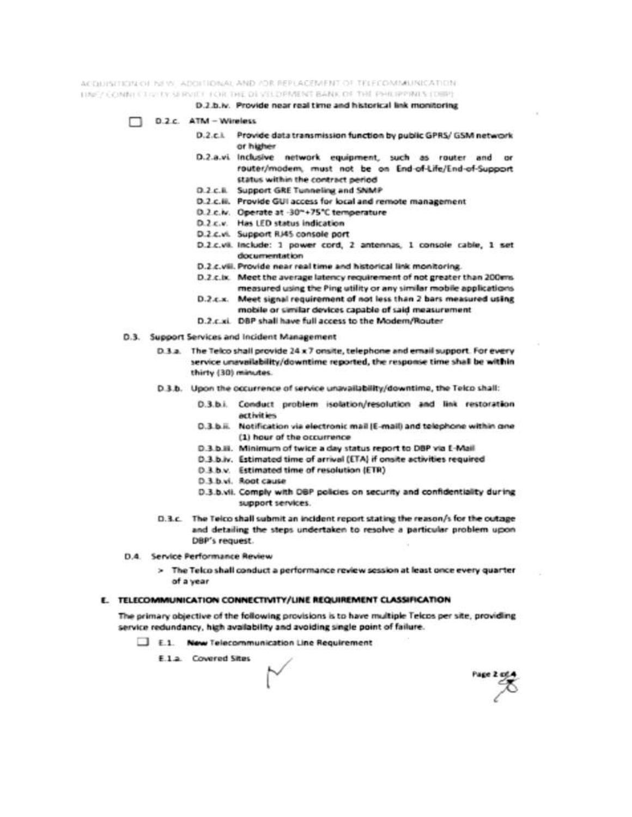ACQUISITION OF NEW ADDITIONAL AND JOR REPLACEMENT OF TRECOMMUNICATION: DNEY COMMITTED IN SERVICE FOR THE DEVELOPMENT BANK OF THE PHILIPPINES TORPE

D.2.b.w. Provide near real time and historical link monitoring

- D.2.c. ATM Wireless
	- D.2.c.i. Provide data transmission function by public GPRS/ GSM network or higher
	- D.2.a.vi Inclusive network equipment, such as router and or router/modem, must not be on End-of-Life/End-of-Support status within the contract period
	- D.2 c.li. Support GRE Tunneling and SNMP
	- D.2.c.iii. Provide GUI access for local and remote management
	- D.2.c.lv. Operate at -30"+75"C temperature
	- D.2.c.v. Has LED status indication
	- D.2.c.vi. Support RJ45 console port
	- D.2.c.vii. Include: 1 power cord, 2 antennas, 1 console cable, 1 set documentation
	- D.2.c.viii. Provide near real time and historical link monitoring.
	- D.2.c.lx. Meet the average latency requirement of not greater than 200ms. measured using the Ping utility or any similar mobile applications
	- D.2.c.x. Meet signal requirement of not less than 2 bars measured using
	- mobile or similar devices capable of said measurement
	- D.2.c.xi. DBP shall have full access to the Modern/Router
- D.3. Support Services and Incident Management
	- D.3.a. The Telco shall provide 24 x 7 onsite, telephone and email support. For every service unavailability/downtime reported, the response time shall be within thirty (30) minutes.
	- D.3.b. Upon the occurrence of service unavailability/downtime, the Telco shall:
		- D.3.b.i. Conduct problem isolation/resolution and link restoration activities
		- D.3.b.ii. Notification via electronic mail (E-mail) and telephone within one (1) hour of the occurrence
		- D.3.b.iii. Minimum of twice a day status report to DBP via E-Mail
		- D.3.b.iv. Estimated time of arrival (ETA) if onsite activities required
		- D.3.b.v. Estimated time of resolution (ETR)
		- D.3.b.vi. Root cause
		- D.3.b.vii. Comply with DBP policies on security and confidentiality during support services.
	- D.3.c. The Telco shall submit an incident report stating the reason/s for the outage and detailing the steps undertaken to resolve a particular problem upon DBP's request.
- D.4. Service Performance Review
	- > The Telco shall conduct a performance review session at least once every quarter of a year

#### E. TELECOMMUNICATION CONNECTIVITY/LINE REQUIREMENT CLASSIFICATION

The primary objective of the following provisions is to have multiple Telcos per site, providing service redundancy, high availability and avoiding single point of failure.

- E.1. New Telecommunication Line Requirement
	- E.1.a. Covered Sites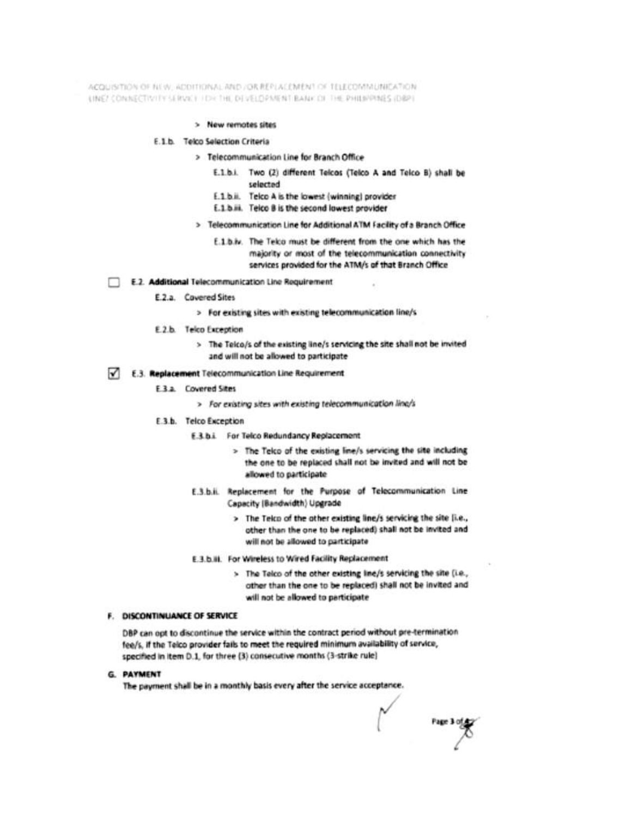ACQUISITION OF NEW, ADDITIONAL AND JOR REPLACEMENT OF TELECOMMUNICATION. LINE! CONNECTIVITY SERVAL FIDE THE DEVELOPMENT BANK OF THE PHILIPPINES (DBP)

> New remotes sites

#### E.1.b. Telco Selection Criteria

- > Telecommunication Line for Branch Office
	- E.1.b.i. Two (2) different Telcos (Telco A and Telco B) shall be selected
	- E.1.b.ii. Telco A is the lowest (winning) provider
	- E.1.b.iii. Telco B is the second lowest provider
- > Telecommunication Line for Additional ATM Facility of a Branch Office
	- E.1.b.iv. The Telco must be different from the one which has the majority or most of the telecommunication connectivity services provided for the ATM/s of that Branch Office
- E.2. Additional Telecommunication Line Requirement
	- E.2.a. Covered Sites
		- > For existing sites with existing telecommunication line/s
	- E.2.b. Telco Exception
		- > The Telco/s of the existing line/s servicing the site shall not be invited and will not be allowed to participate
- E.3. Replacement Telecommunication Line Requirement
	- E.3.a. Covered Sites
		- > For existing sites with existing telecommunication line/s
	- E.3.b. Telco Exception
		- **E.3.b.i.** For Telco Redundancy Replacement
			- > The Teko of the existing line/s servicing the site including the one to be replaced shall not be invited and will not be allowed to participate
		- E.3.b.ii. Replacement for the Purpose of Telecommunication Line Capacity (Bandwidth) Upgrade
			- > The Telco of the other existing line/s servicing the site [i.e., other than the one to be replaced) shall not be invited and will not be allowed to participate
		- E.3.b.iii. For Wireless to Wired Facility Replacement
			- > The Telco of the other existing line/s servicing the site (i.e., other than the one to be replaced) shall not be invited and will not be allowed to participate

#### **F. DISCONTINUANCE OF SERVICE**

DBP can opt to discontinue the service within the contract period without pre-termination fee/s. If the Teico provider fails to meet the required minimum availability of service, specified in item 0.1, for three (3) consecutive months (3-strike rule)

#### **G. PAYMENT**

The payment shall be in a monthly basis every after the service acceptance.

Page 3 of